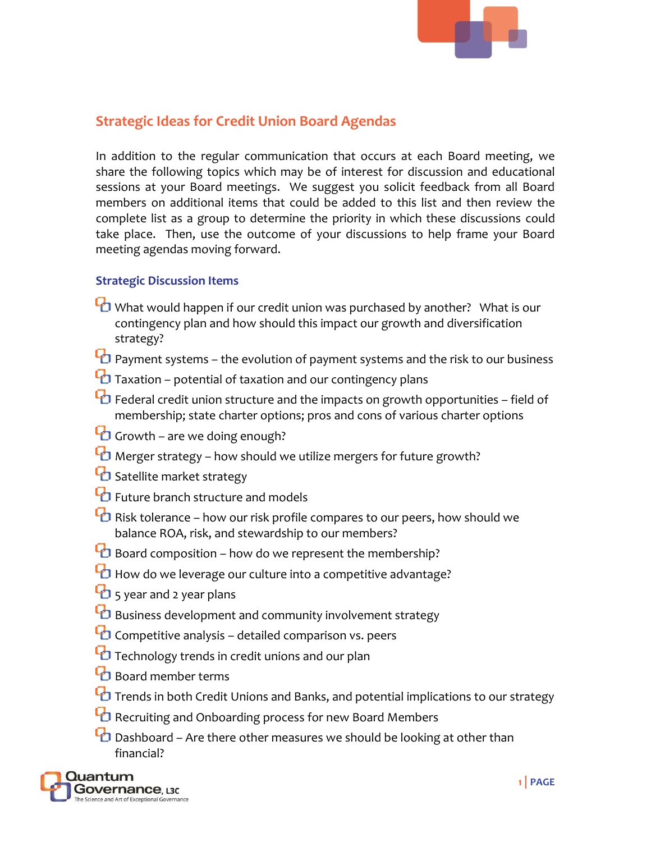

## **Strategic Ideas for Credit Union Board Agendas**

In addition to the regular communication that occurs at each Board meeting, we share the following topics which may be of interest for discussion and educational sessions at your Board meetings. We suggest you solicit feedback from all Board members on additional items that could be added to this list and then review the complete list as a group to determine the priority in which these discussions could take place. Then, use the outcome of your discussions to help frame your Board meeting agendas moving forward.

## **Strategic Discussion Items**

- **T** What would happen if our credit union was purchased by another? What is our contingency plan and how should this impact our growth and diversification strategy?
- **P** Payment systems the evolution of payment systems and the risk to our business
- $\bullet$  Taxation potential of taxation and our contingency plans
- $\bullet$  Federal credit union structure and the impacts on growth opportunities field of membership; state charter options; pros and cons of various charter options
- **b** Growth are we doing enough?
- $\bullet$  Merger strategy how should we utilize mergers for future growth?
- **b** Satellite market strategy
- $\bullet$  Future branch structure and models
- $\bullet$  Risk tolerance how our risk profile compares to our peers, how should we balance ROA, risk, and stewardship to our members?
- $\bullet$  Board composition how do we represent the membership?
- **H** How do we leverage our culture into a competitive advantage?
- <sup>2</sup> 5 year and 2 year plans
- $\bullet$  Business development and community involvement strategy
- $\bullet$  Competitive analysis detailed comparison vs. peers
- $\bullet$  Technology trends in credit unions and our plan
- **B** Board member terms
- $\bullet$  Trends in both Credit Unions and Banks, and potential implications to our strategy
- **P** Recruiting and Onboarding process for new Board Members
- $\bullet$  Dashboard Are there other measures we should be looking at other than financial?